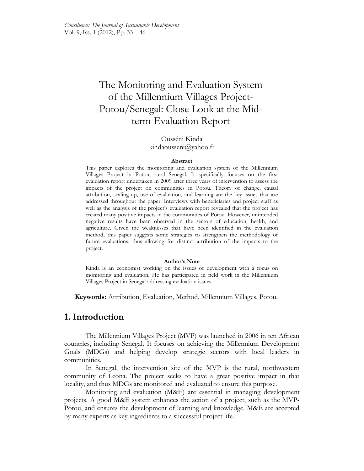# The Monitoring and Evaluation System of the Millennium Villages Project-Potou/Senegal: Close Look at the Midterm Evaluation Report

### Ousséni Kinda kindaousseni@yahoo.fr

#### **Abstract**

This paper explores the monitoring and evaluation system of the Millennium Villages Project in Potou, rural Senegal. It specifically focuses on the first evaluation report undertaken in 2009 after three years of intervention to assess the impacts of the project on communities in Potou. Theory of change, causal attribution, scaling-up, use of evaluation, and learning are the key issues that are addressed throughout the paper. Interviews with beneficiaries and project staff as well as the analysis of the project's evaluation report revealed that the project has created many positive impacts in the communities of Potou. However, unintended negative results have been observed in the sectors of education, health, and agriculture. Given the weaknesses that have been identified in the evaluation method, this paper suggests some strategies to strengthen the methodology of future evaluations, thus allowing for distinct attribution of the impacts to the project.

#### **Author's Note**

Kinda is an economist working on the issues of development with a focus on monitoring and evaluation. He has participated in field work in the Millennium Villages Project in Senegal addressing evaluation issues.

**Keywords:** Attribution, Evaluation, Method, Millennium Villages, Potou.

## **1. Introduction**

The Millennium Villages Project (MVP) was launched in 2006 in ten African countries, including Senegal. It focuses on achieving the Millennium Development Goals (MDGs) and helping develop strategic sectors with local leaders in communities.

In Senegal, the intervention site of the MVP is the rural, northwestern community of Leona. The project seeks to have a great positive impact in that locality, and thus MDGs are monitored and evaluated to ensure this purpose.

Monitoring and evaluation (M&E) are essential in managing development projects. A good M&E system enhances the action of a project, such as the MVP-Potou, and ensures the development of learning and knowledge. M&E are accepted by many experts as key ingredients to a successful project life.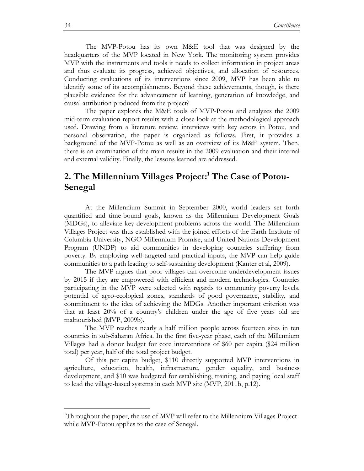The MVP-Potou has its own M&E tool that was designed by the headquarters of the MVP located in New York. The monitoring system provides MVP with the instruments and tools it needs to collect information in project areas and thus evaluate its progress, achieved objectives, and allocation of resources. Conducting evaluations of its interventions since 2009, MVP has been able to identify some of its accomplishments. Beyond these achievements, though, is there plausible evidence for the advancement of learning, generation of knowledge, and causal attribution produced from the project?

The paper explores the M&E tools of MVP-Potou and analyzes the 2009 mid-term evaluation report results with a close look at the methodological approach used. Drawing from a literature review, interviews with key actors in Potou, and personal observation, the paper is organized as follows. First, it provides a background of the MVP-Potou as well as an overview of its M&E system. Then, there is an examination of the main results in the 2009 evaluation and their internal and external validity. Finally, the lessons learned are addressed.

## **2. The Millennium Villages Project: <sup>1</sup> The Case of Potou-Senegal**

At the Millennium Summit in September 2000, world leaders set forth quantified and time-bound goals, known as the Millennium Development Goals (MDGs), to alleviate key development problems across the world. The Millennium Villages Project was thus established with the joined efforts of the Earth Institute of Columbia University, NGO Millennium Promise, and United Nations Development Program (UNDP) to aid communities in developing countries suffering from poverty. By employing well-targeted and practical inputs, the MVP can help guide communities to a path leading to self-sustaining development (Kanter et al, 2009).

The MVP argues that poor villages can overcome underdevelopment issues by 2015 if they are empowered with efficient and modern technologies. Countries participating in the MVP were selected with regards to community poverty levels, potential of agro-ecological zones, standards of good governance, stability, and commitment to the idea of achieving the MDGs. Another important criterion was that at least 20% of a country's children under the age of five years old are malnourished (MVP, 2009b).

The MVP reaches nearly a half million people across fourteen sites in ten countries in sub-Saharan Africa. In the first five-year phase, each of the Millennium Villages had a donor budget for core interventions of \$60 per capita (\$24 million total) per year, half of the total project budget.

Of this per capita budget, \$110 directly supported MVP interventions in agriculture, education, health, infrastructure, gender equality, and business development, and \$10 was budgeted for establishing, training, and paying local staff to lead the village-based systems in each MVP site (MVP, 2011b, p.12).

<sup>1</sup>Throughout the paper, the use of MVP will refer to the Millennium Villages Project while MVP-Potou applies to the case of Senegal.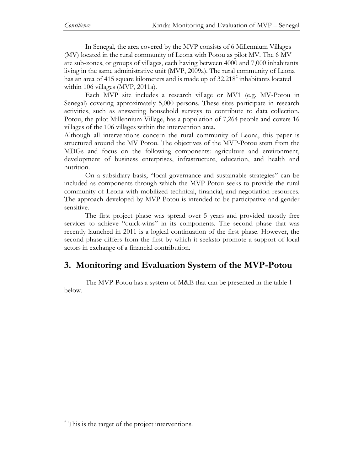In Senegal, the area covered by the MVP consists of 6 Millennium Villages (MV) located in the rural community of Leona with Potou as pilot MV. The 6 MV are sub-zones, or groups of villages, each having between 4000 and 7,000 inhabitants living in the same administrative unit (MVP, 2009a). The rural community of Leona has an area of 415 square kilometers and is made up of 32,218<sup>2</sup> inhabitants located within 106 villages (MVP, 2011a).

Each MVP site includes a research village or MV1 (e.g. MV-Potou in Senegal) covering approximately 5,000 persons. These sites participate in research activities, such as answering household surveys to contribute to data collection. Potou, the pilot Millennium Village, has a population of 7,264 people and covers 16 villages of the 106 villages within the intervention area.

Although all interventions concern the rural community of Leona, this paper is structured around the MV Potou. The objectives of the MVP-Potou stem from the MDGs and focus on the following components: agriculture and environment, development of business enterprises, infrastructure, education, and health and nutrition.

On a subsidiary basis, "local governance and sustainable strategies" can be included as components through which the MVP-Potou seeks to provide the rural community of Leona with mobilized technical, financial, and negotiation resources. The approach developed by MVP-Potou is intended to be participative and gender sensitive.

The first project phase was spread over 5 years and provided mostly free services to achieve "quick*-*wins" in its components. The second phase that was recently launched in 2011 is a logical continuation of the first phase. However, the second phase differs from the first by which it seeksto promote a support of local actors in exchange of a financial contribution.

## **3. Monitoring and Evaluation System of the MVP-Potou**

The MVP-Potou has a system of M&E that can be presented in the table 1 below.

 $2^2$  This is the target of the project interventions.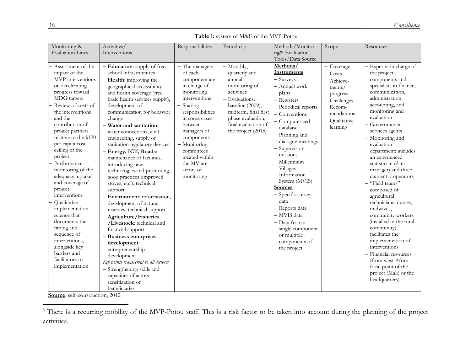### **Table 1:** system of M&E of the MVP-Potou

| Monitoring &                                                                                                                                                                                                                                                                                                                                                                                                                                                                                                                                                                      | Activities/                                                                                                                                                                                                                                                                                                                                                                                                                                                                                                                                                                                                                                                                                                                                                                                                                                                                                                                            | Responsibilities                                                                                                                                                                                                                                                               | Periodicity                                                                                                                                                                                          | Methods/Monitori                                                                                                                                                                                                                                                                                                                                                                                                                                           | Scope                                                                                                                          | Resources                                                                                                                                                                                                                                                                                                                                                                                                                                                                                                                                                                                                                                                                                                  |
|-----------------------------------------------------------------------------------------------------------------------------------------------------------------------------------------------------------------------------------------------------------------------------------------------------------------------------------------------------------------------------------------------------------------------------------------------------------------------------------------------------------------------------------------------------------------------------------|----------------------------------------------------------------------------------------------------------------------------------------------------------------------------------------------------------------------------------------------------------------------------------------------------------------------------------------------------------------------------------------------------------------------------------------------------------------------------------------------------------------------------------------------------------------------------------------------------------------------------------------------------------------------------------------------------------------------------------------------------------------------------------------------------------------------------------------------------------------------------------------------------------------------------------------|--------------------------------------------------------------------------------------------------------------------------------------------------------------------------------------------------------------------------------------------------------------------------------|------------------------------------------------------------------------------------------------------------------------------------------------------------------------------------------------------|------------------------------------------------------------------------------------------------------------------------------------------------------------------------------------------------------------------------------------------------------------------------------------------------------------------------------------------------------------------------------------------------------------------------------------------------------------|--------------------------------------------------------------------------------------------------------------------------------|------------------------------------------------------------------------------------------------------------------------------------------------------------------------------------------------------------------------------------------------------------------------------------------------------------------------------------------------------------------------------------------------------------------------------------------------------------------------------------------------------------------------------------------------------------------------------------------------------------------------------------------------------------------------------------------------------------|
| <b>Evaluation Lines</b>                                                                                                                                                                                                                                                                                                                                                                                                                                                                                                                                                           | Interventions                                                                                                                                                                                                                                                                                                                                                                                                                                                                                                                                                                                                                                                                                                                                                                                                                                                                                                                          |                                                                                                                                                                                                                                                                                |                                                                                                                                                                                                      | ng& Evaluation                                                                                                                                                                                                                                                                                                                                                                                                                                             |                                                                                                                                |                                                                                                                                                                                                                                                                                                                                                                                                                                                                                                                                                                                                                                                                                                            |
|                                                                                                                                                                                                                                                                                                                                                                                                                                                                                                                                                                                   |                                                                                                                                                                                                                                                                                                                                                                                                                                                                                                                                                                                                                                                                                                                                                                                                                                                                                                                                        |                                                                                                                                                                                                                                                                                |                                                                                                                                                                                                      | Tools/Data Source                                                                                                                                                                                                                                                                                                                                                                                                                                          |                                                                                                                                |                                                                                                                                                                                                                                                                                                                                                                                                                                                                                                                                                                                                                                                                                                            |
| Assessment of the<br>impact of the<br>MVP interventions<br>on accelerating<br>progress toward<br>MDG targets<br>Review of costs of<br>the interventions<br>and the<br>contribution of<br>project partners<br>relative to the \$120<br>per capita cost<br>ceiling of the<br>project<br>Performance<br>monitoring of the<br>adequacy, uptake,<br>and coverage of<br>project<br>interventions<br>Qualitative<br>implementation<br>science that<br>documents the<br>timing and<br>sequence of<br>interventions,<br>alongside key<br>barriers and<br>facilitators to<br>implementation | - Education: supply of free<br>school infrastructures<br>$-$ <b>Health:</b> improving the<br>geographical accessibility<br>and health coverage (free<br>basic health services supply),<br>development of<br>communication for behavior<br>change<br>- Water and sanitation:<br>water connections, civil<br>engineering, supply of<br>sanitation regulatory devices<br>- Energy, ICT, Roads:<br>maintenance of facilities,<br>introducing new<br>technologies and promoting<br>good practices (improved<br>stoves, etc.), technical<br>support<br>- Environment: reforestation,<br>development of natural<br>reserves, technical support<br>- Agriculture/Fisheries<br>/Livestock: technical and<br>financial support<br>- Business enterprises<br>development:<br>entrepreneurship<br>development<br>Key points transversal to all sectors:<br>- Strengthening skills and<br>capacities of actors<br>sensitization of<br>beneficiaries | - The managers<br>of each<br>component are<br>in charge of<br>monitoring<br>interventions<br>$-$ Sharing<br>responsibilities<br>in some cases<br>between<br>managers of<br>components<br>- Monitoring<br>committees<br>located within<br>the MV are<br>actors of<br>monitoring | - Monthly,<br>quarterly and<br>annual<br>monitoring of<br>activities<br>- Evaluations:<br>baseline (2009),<br>midterm, final first<br>phase evaluation,<br>final evaluation of<br>the project (2015) | Methods/<br>Instruments<br>- Surveys<br>- Annual work<br>plans<br>- Registers<br>- Periodical reports<br>- Conventions<br>- Computerized<br>database<br>- Planning and<br>dialogue meetings<br>- Supervision<br>missions<br>$-$ Millennium<br>Villages<br>Information<br>System (MVIS)<br><b>Sources</b><br>- Specific survey<br>data<br>- Reports data<br>- MVIS data<br>- Data from a<br>single component<br>or multiple<br>components of<br>the project | - Coverage<br>$-$ Costs<br>- Achieve-<br>ments/<br>progress<br>- Challenges<br>Recom-<br>mendations<br>Qualitative<br>learning | $-$ Experts <sup>1</sup> in charge of<br>the project<br>components and<br>specialists in finance,<br>communication,<br>administration,<br>accounting, and<br>monitoring and<br>evaluation<br>- Governmental<br>services agents<br>- Monitoring and<br>evaluation<br>department: includes<br>an experienced<br>statistician (data<br>manager) and three<br>data entry operators<br>- "Field teams"<br>composed of<br>agricultural<br>technicians, nurses,<br>midwives,<br>community workers<br>(installed in the rural<br>community)<br>facilitates the<br>implementation of<br>interventions<br>- Financial resources<br>(from west Africa<br>focal point of the<br>project (Mali) or the<br>headquarters) |

**Source**: self-construction, 2012

<sup>&</sup>lt;sup>3</sup> There is a recurring mobility of the MVP-Potou staff. This is a risk factor to be taken into account during the planning of the project activities.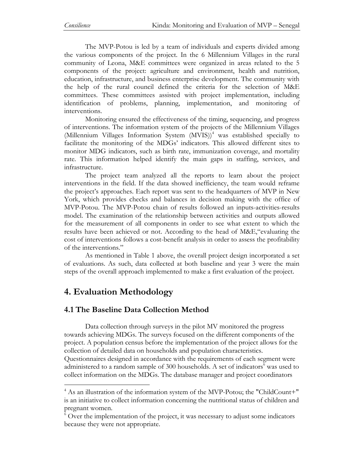The MVP-Potou is led by a team of individuals and experts divided among the various components of the project. In the 6 Millennium Villages in the rural community of Leona, M&E committees were organized in areas related to the 5 components of the project: agriculture and environment, health and nutrition, education, infrastructure, and business enterprise development. The community with the help of the rural council defined the criteria for the selection of M&E committees. These committees assisted with project implementation, including identification of problems, planning, implementation, and monitoring of interventions.

Monitoring ensured the effectiveness of the timing, sequencing, and progress of interventions. The information system of the projects of the Millennium Villages (Millennium Villages Information System (MVIS))<sup>4</sup> was established specially to facilitate the monitoring of the MDGs' indicators. This allowed different sites to monitor MDG indicators, such as birth rate, immunization coverage, and mortality rate. This information helped identify the main gaps in staffing, services, and infrastructure.

The project team analyzed all the reports to learn about the project interventions in the field. If the data showed inefficiency, the team would reframe the project's approaches. Each report was sent to the headquarters of MVP in New York, which provides checks and balances in decision making with the office of MVP-Potou. The MVP-Potou chain of results followed an inputs-activities-results model. The examination of the relationship between activities and outputs allowed for the measurement of all components in order to see what extent to which the results have been achieved or not. According to the head of M&E,"evaluating the cost of interventions follows a cost-benefit analysis in order to assess the profitability of the interventions."

As mentioned in Table 1 above, the overall project design incorporated a set of evaluations. As such, data collected at both baseline and year 3 were the main steps of the overall approach implemented to make a first evaluation of the project.

# **4. Evaluation Methodology**

 $\overline{a}$ 

## **4.1 The Baseline Data Collection Method**

Data collection through surveys in the pilot MV monitored the progress towards achieving MDGs. The surveys focused on the different components of the project. A population census before the implementation of the project allows for the collection of detailed data on households and population characteristics. Questionnaires designed in accordance with the requirements of each segment were administered to a random sample of 300 households. A set of indicators<sup>6</sup> was used to collect information on the MDGs. The database manager and project coordinators

<sup>&</sup>lt;sup>4</sup> As an illustration of the information system of the MVP-Potou; the "ChildCount+" is an initiative to collect information concerning the nutritional status of children and pregnant women.

 $6$  Over the implementation of the project, it was necessary to adjust some indicators because they were not appropriate.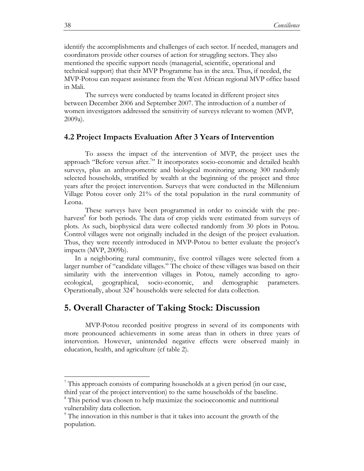identify the accomplishments and challenges of each sector. If needed, managers and coordinators provide other courses of action for struggling sectors. They also mentioned the specific support needs (managerial, scientific, operational and technical support) that their MVP Programme has in the area. Thus, if needed, the MVP-Potou can request assistance from the West African regional MVP office based in Mali.

The surveys were conducted by teams located in different project sites between December 2006 and September 2007. The introduction of a number of women investigators addressed the sensitivity of surveys relevant to women (MVP, 2009a).

### **4.2 Project Impacts Evaluation After 3 Years of Intervention**

To assess the impact of the intervention of MVP, the project uses the approach "Before versus after.<sup>7</sup>" It incorporates socio-economic and detailed health surveys, plus an anthropometric and biological monitoring among 300 randomly selected households, stratified by wealth at the beginning of the project and three years after the project intervention. Surveys that were conducted in the Millennium Village Potou cover only 21% of the total population in the rural community of Leona.

These surveys have been programmed in order to coincide with the preharvest<sup>8</sup> for both periods. The data of crop yields were estimated from surveys of plots. As such, biophysical data were collected randomly from 30 plots in Potou. Control villages were not originally included in the design of the project evaluation. Thus, they were recently introduced in MVP-Potou to better evaluate the project's impacts (MVP, 2009b).

In a neighboring rural community, five control villages were selected from a larger number of "candidate villages." The choice of these villages was based on their similarity with the intervention villages in Potou, namely according to agroecological, geographical, socio-economic, and demographic parameters. Operationally, about 324<sup>9</sup> households were selected for data collection.

## **5. Overall Character of Taking Stock: Discussion**

MVP-Potou recorded positive progress in several of its components with more pronounced achievements in some areas than in others in three years of intervention. However, unintended negative effects were observed mainly in education, health, and agriculture (cf table 2).

 $7$  This approach consists of comparing households at a given period (in our case, third year of the project intervention) to the same households of the baseline.

<sup>8</sup> This period was chosen to help maximize the socioeconomic and nutritional vulnerability data collection.

 $9$ <sup>9</sup> The innovation in this number is that it takes into account the growth of the population.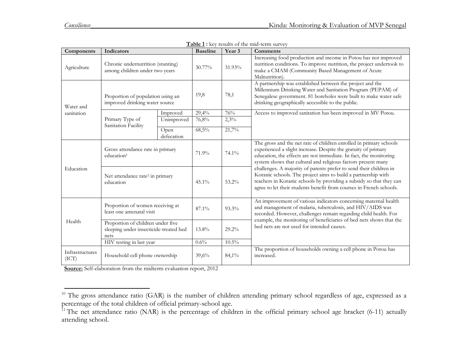$\overline{\phantom{a}}$ 

| Components                                                                                                                                                                                                                                            | Indicators                                                          |                    | <b>Baseline</b> | Year 3 | <b>Comments</b>                                                                                                                                                                                                                                                                                                       |  |  |
|-------------------------------------------------------------------------------------------------------------------------------------------------------------------------------------------------------------------------------------------------------|---------------------------------------------------------------------|--------------------|-----------------|--------|-----------------------------------------------------------------------------------------------------------------------------------------------------------------------------------------------------------------------------------------------------------------------------------------------------------------------|--|--|
| Agriculture                                                                                                                                                                                                                                           | Chronic undernutrition (stunting)<br>among children under two years |                    | 30.77%          | 31.93% | Increasing food production and income in Potou has not improved<br>nutrition conditions. To improve nutrition, the project undertook to<br>make a CMAM (Community Based Management of Acute<br>Malnutrition).                                                                                                         |  |  |
| Water and<br>sanitation                                                                                                                                                                                                                               | Proportion of population using an<br>improved drinking water source |                    | 19,8            | 78,1   | A partnership was established between the project and the<br>Millennium Drinking Water and Sanitation Program (PEPAM) of<br>Senegalese government. 81 boreholes were built to make water safe<br>drinking geographically accessible to the public.                                                                    |  |  |
|                                                                                                                                                                                                                                                       | Primary Type of<br>Sanitation Facility                              | Improved           | 29,4%           | 76%    | Access to improved sanitation has been improved in MV Potou.                                                                                                                                                                                                                                                          |  |  |
|                                                                                                                                                                                                                                                       |                                                                     | Unimproved         | 76,8%           | 2,3%   |                                                                                                                                                                                                                                                                                                                       |  |  |
|                                                                                                                                                                                                                                                       |                                                                     | Open<br>defecation | 68,5%           | 21,7%  |                                                                                                                                                                                                                                                                                                                       |  |  |
| Education                                                                                                                                                                                                                                             | Gross attendance rate in primary<br>education <sup>1</sup>          |                    | 71.9%           | 74.1%  | The gross and the net rate of children enrolled in primary schools<br>experienced a slight increase. Despite the gratuity of primary<br>education, the effects are not immediate. In fact, the monitoring<br>system shows that cultural and religious factors present many                                            |  |  |
|                                                                                                                                                                                                                                                       | Net attendance rate <sup>2</sup> in primary<br>education            |                    | 45.1%           | 53.2%  | challenges. A majority of parents prefer to send their children in<br>Koranic schools. The project aims to build a partnership with<br>teachers in Koranic schools by providing a subsidy so that they can<br>agree to let their students benefit from courses in French schools.                                     |  |  |
| Proportion of women receiving at<br>87.1%<br>93.3%<br>least one antenatal visit<br>Health<br>Proportion of children under five<br>sleeping under insecticide-treated bed<br>13.8%<br>$29.2\%$<br>nets<br>HIV testing in last year<br>$10.5\%$<br>0.6% |                                                                     |                    |                 |        | An improvement of various indicators concerning maternal health<br>and management of malaria, tuberculosis, and HIV/AIDS was<br>recorded. However, challenges remain regarding child health. For<br>example, the monitoring of beneficiaries of bed nets shows that the<br>bed nets are not used for intended causes. |  |  |
|                                                                                                                                                                                                                                                       |                                                                     |                    |                 |        |                                                                                                                                                                                                                                                                                                                       |  |  |
|                                                                                                                                                                                                                                                       |                                                                     |                    |                 |        |                                                                                                                                                                                                                                                                                                                       |  |  |
| Infrastructures<br>(ICT)                                                                                                                                                                                                                              | Household cell phone ownership                                      |                    | 39,6%           | 84,1%  | The proportion of households owning a cell phone in Potou has<br>increased.                                                                                                                                                                                                                                           |  |  |

| <b>Table 1:</b> key results of the mid-term survey |
|----------------------------------------------------|
|                                                    |

**Source:** Self-elaboration from the midterm evaluation report, 2012

 $10$  The gross attendance ratio (GAR) is the number of children attending primary school regardless of age, expressed as a percentage of the total children of official primary-school age.

<sup>&</sup>lt;sup>11</sup> The net attendance ratio (NAR) is the percentage of children in the official primary school age bracket (6-11) actually attending school.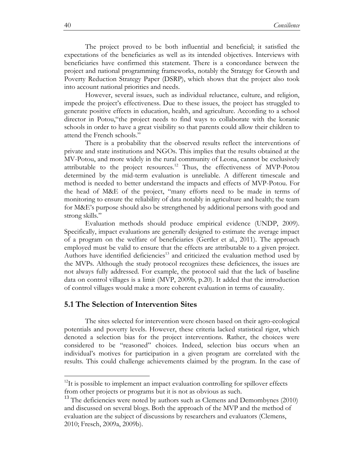The project proved to be both influential and beneficial; it satisfied the expectations of the beneficiaries as well as its intended objectives. Interviews with beneficiaries have confirmed this statement. There is a concordance between the project and national programming frameworks, notably the Strategy for Growth and Poverty Reduction Strategy Paper (DSRP), which shows that the project also took into account national priorities and needs.

However, several issues, such as individual reluctance, culture, and religion, impede the project's effectiveness. Due to these issues, the project has struggled to generate positive effects in education, health, and agriculture. According to a school director in Potou,"the project needs to find ways to collaborate with the koranic schools in order to have a great visibility so that parents could allow their children to attend the French schools."

There is a probability that the observed results reflect the interventions of private and state institutions and NGOs. This implies that the results obtained at the MV-Potou, and more widely in the rural community of Leona, cannot be exclusively attributable to the project resources.<sup>12</sup> Thus, the effectiveness of MVP-Potou determined by the mid-term evaluation is unreliable. A different timescale and method is needed to better understand the impacts and effects of MVP-Potou. For the head of M&E of the project, "many efforts need to be made in terms of monitoring to ensure the reliability of data notably in agriculture and health; the team for M&E's purpose should also be strengthened by additional persons with good and strong skills."

Evaluation methods should produce empirical evidence (UNDP, 2009). Specifically, impact evaluations are generally designed to estimate the average impact of a program on the welfare of beneficiaries (Gertler et al., 2011). The approach employed must be valid to ensure that the effects are attributable to a given project. Authors have identified deficiencies<sup>13</sup> and criticized the evaluation method used by the MVPs. Although the study protocol recognizes these deficiences, the issues are not always fully addressed. For example, the protocol said that the lack of baseline data on control villages is a limit (MVP, 2009b, p.20). It added that the introduction of control villages would make a more coherent evaluation in terms of causality.

#### **5.1 The Selection of Intervention Sites**

The sites selected for intervention were chosen based on their agro-ecological potentials and poverty levels. However, these criteria lacked statistical rigor, which denoted a selection bias for the project interventions. Rather, the choices were considered to be "reasoned" choices. Indeed, selection bias occurs when an individual's motives for participation in a given program are correlated with the results. This could challenge achievements claimed by the program. In the case of

 $12$ It is possible to implement an impact evaluation controlling for spillover effects from other projects or programs but it is not as obvious as such.

 $13$  The deficiencies were noted by authors such as Clemens and Demombynes (2010) and discussed on several blogs. Both the approach of the MVP and the method of evaluation are the subject of discussions by researchers and evaluators (Clemens, 2010; Fresch, 2009a, 2009b).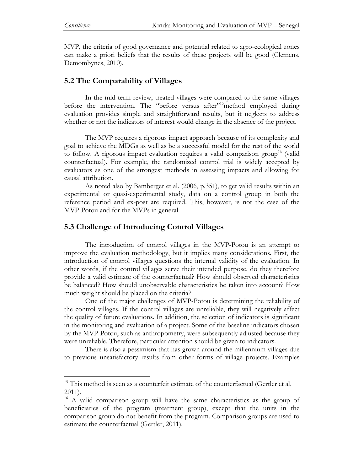$\overline{a}$ 

MVP, the criteria of good governance and potential related to agro-ecological zones can make a priori beliefs that the results of these projects will be good (Clemens, Demombynes, 2010).

### **5.2 The Comparability of Villages**

In the mid-term review, treated villages were compared to the same villages before the intervention. The "before versus after"<sup>15</sup>method employed during evaluation provides simple and straightforward results, but it neglects to address whether or not the indicators of interest would change in the absence of the project.

The MVP requires a rigorous impact approach because of its complexity and goal to achieve the MDGs as well as be a successful model for the rest of the world to follow. A rigorous impact evaluation requires a valid comparison group<sup>16</sup> (valid counterfactual). For example, the randomized control trial is widely accepted by evaluators as one of the strongest methods in assessing impacts and allowing for causal attribution.

As noted also by Bamberger et al. (2006, p.351), to get valid results within an experimental or quasi-experimental study, data on a control group in both the reference period and ex-post are required. This, however, is not the case of the MVP-Potou and for the MVPs in general.

### **5.3 Challenge of Introducing Control Villages**

The introduction of control villages in the MVP-Potou is an attempt to improve the evaluation methodology, but it implies many considerations. First, the introduction of control villages questions the internal validity of the evaluation. In other words, if the control villages serve their intended purpose, do they therefore provide a valid estimate of the counterfactual? How should observed characteristics be balanced? How should unobservable characteristics be taken into account? How much weight should be placed on the criteria?

One of the major challenges of MVP-Potou is determining the reliability of the control villages. If the control villages are unreliable, they will negatively affect the quality of future evaluations. In addition, the selection of indicators is significant in the monitoring and evaluation of a project. Some of the baseline indicators chosen by the MVP-Potou, such as anthropometry, were subsequently adjusted because they were unreliable. Therefore, particular attention should be given to indicators.

There is also a pessimism that has grown around the millennium villages due to previous unsatisfactory results from other forms of village projects. Examples

 $15$  This method is seen as a counterfeit estimate of the counterfactual (Gertler et al, 2011).

<sup>&</sup>lt;sup>16</sup> A valid comparison group will have the same characteristics as the group of beneficiaries of the program (treatment group), except that the units in the comparison group do not benefit from the program. Comparison groups are used to estimate the counterfactual (Gertler, 2011)*.*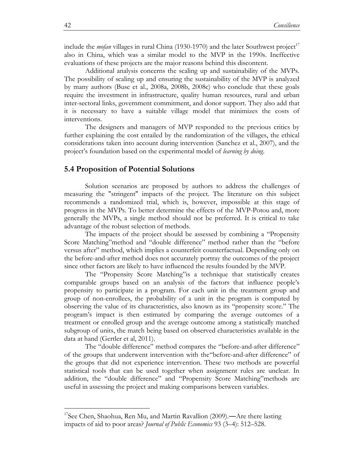include the *mofan* villages in rural China (1930-1970) and the later Southwest project<sup>17</sup> also in China, which was a similar model to the MVP in the 1990s. Ineffective evaluations of these projects are the major reasons behind this discontent.

Additional analysis concerns the scaling up and sustainability of the MVPs. The possibility of scaling up and ensuring the sustainability of the MVP is analyzed by many authors (Buse et al., 2008a, 2008b, 2008c) who conclude that these goals require the investment in infrastructure, quality human resources, rural and urban inter-sectoral links, government commitment, and donor support. They also add that it is necessary to have a suitable village model that minimizes the costs of interventions.

The designers and managers of MVP responded to the previous critics by further explaining the cost entailed by the randomization of the villages, the ethical considerations taken into account during intervention (Sanchez et al., 2007), and the project's foundation based on the experimental model of *learning by doing*.

#### **5.4 Proposition of Potential Solutions**

Solution scenarios are proposed by authors to address the challenges of measuring the "stringent" impacts of the project. The literature on this subject recommends a randomized trial, which is, however, impossible at this stage of progress in the MVPs. To better determine the effects of the MVP-Potou and, more generally the MVPs, a single method should not be preferred. It is critical to take advantage of the robust selection of methods.

The impacts of the project should be assessed by combining a "Propensity Score Matching"method and "double difference" method rather than the "before versus after" method, which implies a counterfeit counterfactual. Depending only on the before-and-after method does not accurately portray the outcomes of the project since other factors are likely to have influenced the results founded by the MVP.

The "Propensity Score Matching"is a technique that statistically creates comparable groups based on an analysis of the factors that influence people's propensity to participate in a program. For each unit in the treatment group and group of non-enrollees, the probability of a unit in the program is computed by observing the value of its characteristics, also known as its "propensity score." The program's impact is then estimated by comparing the average outcomes of a treatment or enrolled group and the average outcome among a statistically matched subgroup of units, the match being based on observed characteristics available in the data at hand (Gertler et al, 2011).

The "double difference" method compares the "before-and-after difference" of the groups that underwent intervention with the"before-and-after difference" of the groups that did not experience intervention. These two methods are powerful statistical tools that can be used together when assignment rules are unclear. In addition, the "double difference" and "Propensity Score Matching"methods are useful in assessing the project and making comparisons between variables.

<sup>&</sup>lt;sup>17</sup>See Chen, Shaohua, Ren Mu, and Martin Ravallion  $(2009)$ .—Are there lasting impacts of aid to poor areas? *Journal of Public Economics* 93 (3–4): 512–528.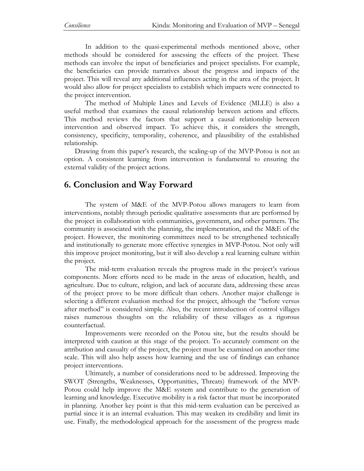In addition to the quasi-experimental methods mentioned above, other methods should be considered for assessing the effects of the project. These methods can involve the input of beneficiaries and project specialists. For example, the beneficiaries can provide narratives about the progress and impacts of the project. This will reveal any additional influences acting in the area of the project. It would also allow for project specialists to establish which impacts were connected to the project intervention.

The method of Multiple Lines and Levels of Evidence (MLLE) is also a useful method that examines the causal relationship between actions and effects. This method reviews the factors that support a causal relationship between intervention and observed impact. To achieve this, it considers the strength, consistency, specificity, temporality, coherence, and plausibility of the established relationship.

Drawing from this paper's research, the scaling-up of the MVP-Potou is not an option. A consistent learning from intervention is fundamental to ensuring the external validity of the project actions.

## **6. Conclusion and Way Forward**

The system of M&E of the MVP-Potou allows managers to learn from interventions, notably through periodic qualitative assessments that are performed by the project in collaboration with communities, government, and other partners. The community is associated with the planning, the implementation, and the M&E of the project. However, the monitoring committees need to be strengthened technically and institutionally to generate more effective synergies in MVP-Potou. Not only will this improve project monitoring, but it will also develop a real learning culture within the project.

The mid-term evaluation reveals the progress made in the project's various components. More efforts need to be made in the areas of education, health, and agriculture. Due to culture, religion, and lack of accurate data, addressing these areas of the project prove to be more difficult than others. Another major challenge is selecting a different evaluation method for the project, although the "before versus after method" is considered simple. Also, the recent introduction of control villages raises numerous thoughts on the reliability of these villages as a rigorous counterfactual.

Improvements were recorded on the Potou site, but the results should be interpreted with caution at this stage of the project. To accurately comment on the attribution and casualty of the project, the project must be examined on another time scale. This will also help assess how learning and the use of findings can enhance project interventions.

Ultimately, a number of considerations need to be addressed. Improving the SWOT (Strengths, Weaknesses, Opportunities, Threats) framework of the MVP-Potou could help improve the M&E system and contribute to the generation of learning and knowledge. Executive mobility is a risk factor that must be incorporated in planning. Another key point is that this mid-term evaluation can be perceived as partial since it is an internal evaluation. This may weaken its credibility and limit its use. Finally, the methodological approach for the assessment of the progress made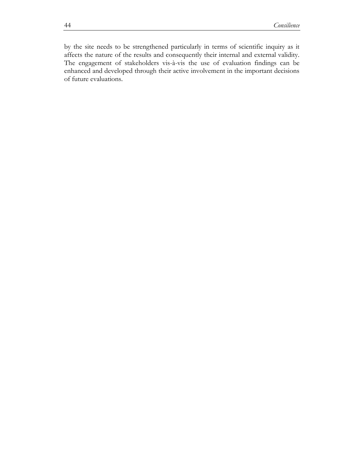by the site needs to be strengthened particularly in terms of scientific inquiry as it affects the nature of the results and consequently their internal and external validity. The engagement of stakeholders vis-à-vis the use of evaluation findings can be enhanced and developed through their active involvement in the important decisions of future evaluations.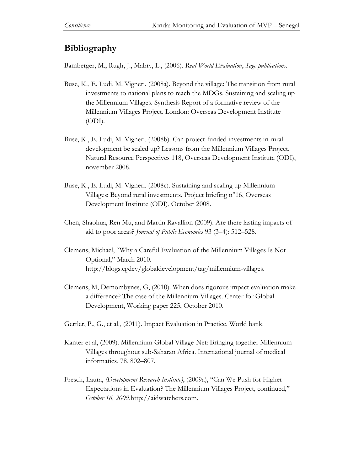## **Bibliography**

Bamberger, M., Rugh, J., Mabry, L., (2006). *Real World Evaluation*, *Sage publications*.

- Buse, K., E. Ludi, M. Vigneri. (2008a). Beyond the village: The transition from rural investments to national plans to reach the MDGs. Sustaining and scaling up the Millennium Villages. Synthesis Report of a formative review of the Millennium Villages Project. London: Overseas Development Institute (ODI).
- Buse, K., E. Ludi, M. Vigneri. (2008b). Can project-funded investments in rural development be scaled up? Lessons from the Millennium Villages Project. Natural Resource Perspectives 118, Overseas Development Institute (ODI), november 2008.
- Buse, K., E. Ludi, M. Vigneri. (2008c). Sustaining and scaling up Millennium Villages: Beyond rural investments. Project briefing n°16, Overseas Development Institute (ODI), October 2008.
- Chen, Shaohua, Ren Mu, and Martin Ravallion (2009). Are there lasting impacts of aid to poor areas? *Journal of Public Economics* 93 (3–4): 512–528.
- Clemens, Michael, "Why a Careful Evaluation of [the Millennium Villages Is Not](http://blogs.cgdev.org/globaldevelopment/2010/03/why-a-careful-evaluation-of-the-millennium-villages-is-not-optional.php)  [Optional](http://blogs.cgdev.org/globaldevelopment/2010/03/why-a-careful-evaluation-of-the-millennium-villages-is-not-optional.php)," March 2010. [http://blogs.cgdev/globaldevelopment/tag/millennium-villages.](http://blogs.cgdev/globaldevelopment/tag/millennium-villages)
- Clemens, M, Demombynes, G, (2010). When does rigorous impact evaluation make a difference? The case of the Millennium Villages. Center for Global Development, Working paper 225, October 2010.
- Gertler, P., G., et al., (2011). Impact Evaluation in Practice. World bank.
- Kanter et al, (2009). Millennium Global Village-Net: Bringing together Millennium Villages throughout sub-Saharan Africa. International journal of medical informatics, 78, 802–807.
- Fresch, Laura, *(Development Research Institute)*, (2009a), "Can We Push for Higher Expectations in Evaluation? The Millennium Villages Project, continued," *October 16, 2009*[.http://aidwatchers.com.](http://aidwatchers.com/)